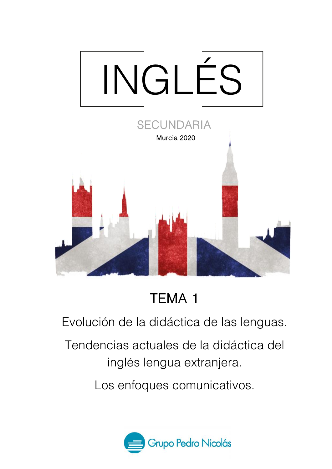

## **TEMA 1**

Evolución de la didáctica de las lenguas.

Tendencias actuales de la didáctica del inglés lengua extranjera.

Los enfoques comunicativos.

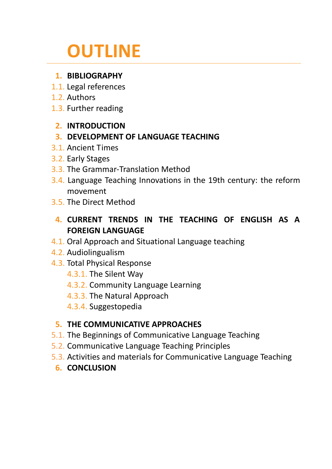# **OUTLINE**

## **1. BIBLIOGRAPHY**

- 1.1. Legal references
- 1.2. Authors
- 1.3. Further reading

## **2. INTRODUCTION**

## **3. DEVELOPMENT OF LANGUAGE TEACHING**

- 3.1. Ancient Times
- 3.2. Early Stages
- 3.3. The Grammar-Translation Method
- 3.4. Language Teaching Innovations in the 19th century: the reform movement
- 3.5. The Direct Method
	- **4. CURRENT TRENDS IN THE TEACHING OF ENGLISH AS A FOREIGN LANGUAGE**
- 4.1. Oral Approach and Situational Language teaching
- 4.2. Audiolingualism
- 4.3. Total Physical Response
	- 4.3.1. The Silent Way
	- 4.3.2. Community Language Learning
	- 4.3.3. The Natural Approach
	- 4.3.4. Suggestopedia

## **5. THE COMMUNICATIVE APPROACHES**

- 5.1. The Beginnings of Communicative Language Teaching
- 5.2. Communicative Language Teaching Principles
- 5.3. Activities and materials for Communicative Language Teaching

## **6. CONCLUSION**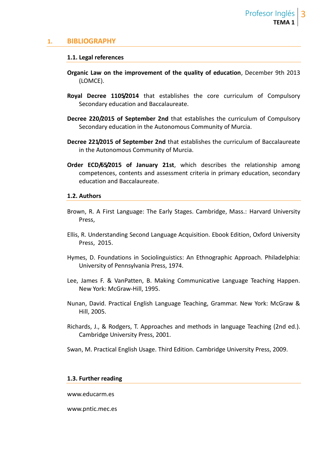#### **1. BIBLIOGRAPHY**

#### **1.1. Legal references**

- **Organic Law on the improvement of the quality of education**, December 9th 2013 (LOMCE).
- **Royal Decree 1105/2014** that establishes the core curriculum of Compulsory Secondary education and Baccalaureate.
- **Decree 220/2015 of September 2nd** that establishes the curriculum of Compulsory Secondary education in the Autonomous Community of Murcia.
- **Decree 221/2015 of September 2nd** that establishes the curriculum of Baccalaureate in the Autonomous Community of Murcia.
- **Order ECD/65/2015 of January 21st**, which describes the relationship among competences, contents and assessment criteria in primary education, secondary education and Baccalaureate.

#### **1.2. Authors**

- Brown, R. A First Language: The Early Stages. Cambridge, Mass.: Harvard University Press,
- Ellis, R. Understanding Second Language Acquisition. Ebook Edition, Oxford University Press, 2015.
- Hymes, D. Foundations in Sociolinguistics: An Ethnographic Approach. Philadelphia: University of Pennsylvania Press, 1974.
- Lee, James F. & VanPatten, B. Making Communicative Language Teaching Happen. New York: McGraw-Hill, 1995.
- Nunan, David. Practical English Language Teaching, Grammar. New York: McGraw & Hill, 2005.
- Richards, J., & Rodgers, T. Approaches and methods in language Teaching (2nd ed.). Cambridge University Press, 2001.
- Swan, M. Practical English Usage. Third Edition. Cambridge University Press, 2009.

#### **1.3. Further reading**

www.educarm.es

www.pntic.mec.es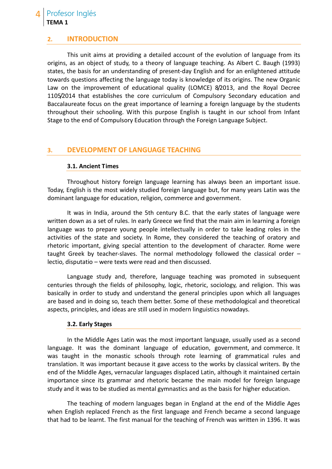#### Profesor Inglés **TEMA 1**

#### **2. INTRODUCTION**

This unit aims at providing a detailed account of the evolution of language from its origins, as an object of study, to a theory of language teaching. As Albert C. Baugh (1993) states, the basis for an understanding of present-day English and for an enlightened attitude towards questions affecting the language today is knowledge of its origins. The new Organic Law on the improvement of educational quality (LOMCE) 8/2013, and the Royal Decree 1105/2014 that establishes the core curriculum of Compulsory Secondary education and Baccalaureate focus on the great importance of learning a foreign language by the students throughout their schooling. With this purpose English is taught in our school from Infant Stage to the end of Compulsory Education through the Foreign Language Subject.

#### **3. DEVELOPMENT OF LANGUAGE TEACHING**

#### **3.1. Ancient Times**

Throughout history foreign language learning has always been an important issue. Today, English is the most widely studied foreign language but, for many years Latin was the dominant language for education, religion, commerce and government.

It was in India, around the 5th century B.C. that the early states of language were written down as a set of rules. In early Greece we find that the main aim in learning a foreign language was to prepare young people intellectually in order to take leading roles in the activities of the state and society. In Rome, they considered the teaching of oratory and rhetoric important, giving special attention to the development of character. Rome were taught Greek by teacher-slaves. The normal methodology followed the classical order – lectio, disputatio – were texts were read and then discussed.

Language study and, therefore, language teaching was promoted in subsequent centuries through the fields of philosophy, logic, rhetoric, sociology, and religion. This was basically in order to study and understand the general principles upon which all languages are based and in doing so, teach them better. Some of these methodological and theoretical aspects, principles, and ideas are still used in modern linguistics nowadays.

#### **3.2. Early Stages**

In the Middle Ages Latin was the most important language, usually used as a second language. It was the dominant language of education, government, and commerce. It was taught in the monastic schools through rote learning of grammatical rules and translation. It was important because it gave access to the works by classical writers. By the end of the Middle Ages, vernacular languages displaced Latin, although it maintained certain importance since its grammar and rhetoric became the main model for foreign language study and it was to be studied as mental gymnastics and as the basis for higher education.

The teaching of modern languages began in England at the end of the Middle Ages when English replaced French as the first language and French became a second language that had to be learnt. The first manual for the teaching of French was written in 1396. It was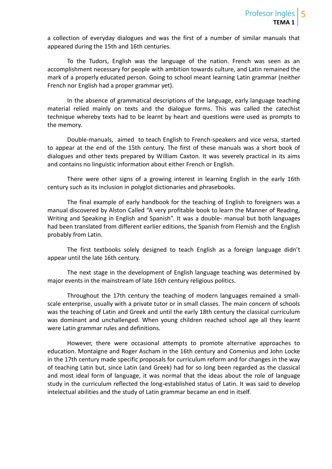a collection of everyday dialogues and was the first of a number of similar manuals that appeared during the 15th and 16th centuries.

To the Tudors, English was the language of the nation. French was seen as an accomplishment necessary for people with ambition towards culture, and Latin remained the mark of a properly educated person. Going to school meant learning Latin grammar (neither French nor English had a proper grammar yet).

In the absence of grammatical descriptions of the language, early language teaching material relied mainly on texts and the dialogue forms. This was called the catechist technique whereby texts had to be learnt by heart and questions were used as prompts to the memory.

Double-manuals, aimed to teach English to French-speakers and vice versa, started to appear at the end of the 15th century. The first of these manuals was a short book of dialogues and other texts prepared by William Caxton. It was severely practical in its aims and contains no linguistic information about either French or English.

There were other signs of a growing interest in learning English in the early 16th century such as its inclusion in polyglot dictionaries and phrasebooks.

The final example of early handbook for the teaching of English to foreigners was a manual discovered by Alston Called "A very profitable book to learn the Manner of Reading, Writing and Speaking in English and Spanish". It was a double- manual but both languages had been translated from different earlier editions, the Spanish from Flemish and the English probably from Latin.

The first textbooks solely designed to teach English as a foreign language didn't appear until the late 16th century.

The next stage in the development of English language teaching was determined by major events in the mainstream of late 16th century religious politics.

Throughout the 17th century the teaching of modern languages remained a small scale enterprise, usually with a private tutor or in small classes. The main concern of schools was the teaching of Latin and Greek and until the early 18th century the classical curriculum was dominant and unchallenged. When young children reached school age all they learnt were Latin grammar rules and definitions.

However, there were occasional attempts to promote alternative approaches to education. Montaigne and Roger Ascham in the 16th century and Comenius and John Locke in the 17th century made specific proposals for curriculum reform and for changes in the way of teaching Latin but, since Latin (and Greek) had for so long been regarded as the classical and most ideal form of language, it was normal that the ideas about the role of language study in the curriculum reflected the long-established status of Latin. It was said to develop intelectual abilities and the study of Latin grammar became an end in itself.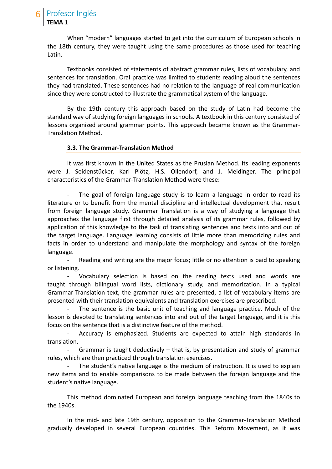When "modern" languages started to get into the curriculum of European schools in the 18th century, they were taught using the same procedures as those used for teaching Latin.

Textbooks consisted of statements of abstract grammar rules, lists of vocabulary, and sentences for translation. Oral practice was limited to students reading aloud the sentences they had translated. These sentences had no relation to the language of real communication since they were constructed to illustrate the grammatical system of the language.

By the 19th century this approach based on the study of Latin had become the standard way of studying foreign languages in schools. A textbook in this century consisted of lessons organized around grammar points. This approach became known as the Grammar- Translation Method.

#### **3.3. The Grammar-Translation Method**

It was first known in the United States as the Prusian Method. Its leading exponents were J. Seidenstücker, Karl Plötz, H.S. Ollendorf, and J. Meidinger. The principal characteristics of the Grammar-Translation Method were these:

- The goal of foreign language study is to learn a language in order to read its literature or to benefit from the mental discipline and intellectual development that result from foreign language study. Grammar Translation is a way of studying a language that approaches the language first through detailed analysis of its grammar rules, followed by application of this knowledge to the task of translating sentences and texts into and out of the target language. Language learning consists of little more than memorizing rules and facts in order to understand and manipulate the morphology and syntax of the foreign language.

Reading and writing are the major focus; little or no attention is paid to speaking or listening.

- Vocabulary selection is based on the reading texts used and words are taught through bilingual word lists, dictionary study, and memorization. In a typical Grammar-Translation text, the grammar rules are presented, a list of vocabulary items are presented with their translation equivalents and translation exercises are prescribed.

The sentence is the basic unit of teaching and language practice. Much of the lesson is devoted to translating sentences into and out of the target language, and it is this focus on the sentence that is a distinctive feature of the method.

Accuracy is emphasized. Students are expected to attain high standards in translation.

Grammar is taught deductively  $-$  that is, by presentation and study of grammar rules, which are then practiced through translation exercises.

The student's native language is the medium of instruction. It is used to explain new items and to enable comparisons to be made between the foreign language and the student's native language.

This method dominated European and foreign language teaching from the 1840s to the 1940s.

In the mid- and late 19th century, opposition to the Grammar-Translation Method gradually developed in several European countries. This Reform Movement, as it was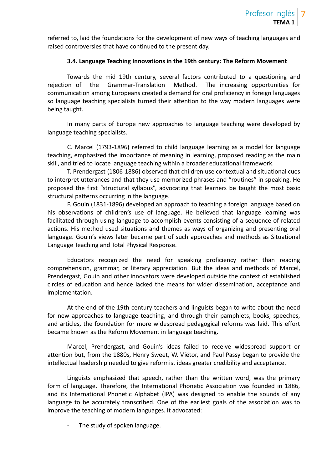referred to, laid the foundations for the development of new ways of teaching languages and raised controversies that have continued to the present day.

#### **3.4. Language Teaching Innovations in the 19th century: The Reform Movement**

Towards the mid 19th century, several factors contributed to a questioning and rejection of the Grammar-Translation Method. The increasing opportunities for communication among Europeans created a demand for oral proficiency in foreign languages so language teaching specialists turned their attention to the way modern languages were being taught.

In many parts of Europe new approaches to language teaching were developed by language teaching specialists.

C. Marcel (1793-1896) referred to child language learning as a model for language teaching, emphasized the importance of meaning in learning, proposed reading as the main skill, and tried to locate language teaching within a broader educational framework.

T. Prendergast (1806-1886) observed that children use contextual and situational cues to interpret utterances and that they use memorized phrases and "routines" in speaking. He proposed the first "structural syllabus", advocating that learners be taught the most basic structural patterns occurring in the language.

F. Gouin (1831-1896) developed an approach to teaching a foreign language based on his observations of children's use of language. He believed that language learning was facilitated through using language to accomplish events consisting of a sequence of related actions. His method used situations and themes as ways of organizing and presenting oral language. Gouin's views later became part of such approaches and methods as Situational Language Teaching and Total Physical Response.

Educators recognized the need for speaking proficiency rather than reading comprehension, grammar, or literary appreciation. But the ideas and methods of Marcel, Prendergast, Gouin and other innovators were developed outside the context of established circles of education and hence lacked the means for wider dissemination, acceptance and implementation.

At the end of the 19th century teachers and linguists began to write about the need for new approaches to language teaching, and through their pamphlets, books, speeches, and articles, the foundation for more widespread pedagogical reforms was laid. This effort became known as the Reform Movement in language teaching.

Marcel, Prendergast, and Gouin's ideas failed to receive widespread support or attention but, from the 1880s, Henry Sweet, W. Viëtor, and Paul Passy began to provide the intellectual leadership needed to give reformist ideas greater credibility and acceptance.

Linguists emphasized that speech, rather than the written word, was the primary form of language. Therefore, the International Phonetic Association was founded in 1886, and its International Phonetic Alphabet (IPA) was designed to enable the sounds of any language to be accurately transcribed. One of the earliest goals of the association was to improve the teaching of modern languages. It advocated:

The study of spoken language.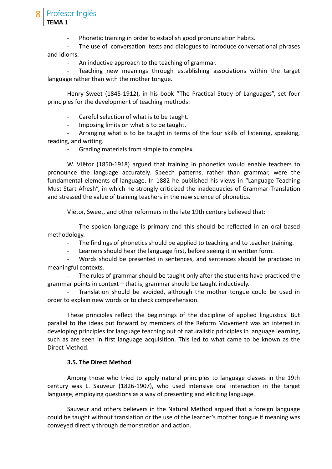Profesor Inglés

**TEMA 1**

Phonetic training in order to establish good pronunciation habits.

The use of conversation texts and dialogues to introduce conversational phrases and idioms.

An inductive approach to the teaching of grammar.

Teaching new meanings through establishing associations within the target language rather than with the mother tongue.

Henry Sweet (1845-1912), in his book "The Practical Study of Languages", set four principles for the development of teaching methods:

- Careful selection of what is to be taught.

Imposing limits on what is to be taught.

- Arranging what is to be taught in terms of the four skills of listening, speaking, reading, and writing.

- Grading materials from simple to complex.

W. Viëtor (1850-1918) argued that training in phonetics would enable teachers to pronounce the language accurately. Speech patterns, rather than grammar, were the fundamental elements of language. In 1882 he published his views in "Language Teaching Must Start Afresh", in which he strongly criticized the inadequacies of Grammar-Translation and stressed the value of training teachers in the new science of phonetics.

Viëtor, Sweet, and other reformers in the late 19th century believed that:

- The spoken language is primary and this should be reflected in an oral based methodology.

The findings of phonetics should be applied to teaching and to teacher training.

- Learners should hear the language first, before seeing it in written form.

- Words should be presented in sentences, and sentences should be practiced in meaningful contexts.

The rules of grammar should be taught only after the students have practiced the grammar points in context – that is, grammar should be taught inductively.

Translation should be avoided, although the mother tongue could be used in order to explain new words or to check comprehension.

These principles reflect the beginnings of the discipline of applied linguistics. But parallel to the ideas put forward by members of the Reform Movement was an interest in developing principles for language teaching out of naturalistic principles in language learning, such as are seen in first language acquisition. This led to what came to be known as the Direct Method.

#### **3.5. The Direct Method**

Among those who tried to apply natural principles to language classes in the 19th century was L. Sauveur (1826-1907), who used intensive oral interaction in the target language, employing questions as a way of presenting and eliciting language.

Sauveur and others believers in the Natural Method argued that a foreign language could be taught without translation or the use of the learner's mother tongue if meaning was conveyed directly through demonstration and action.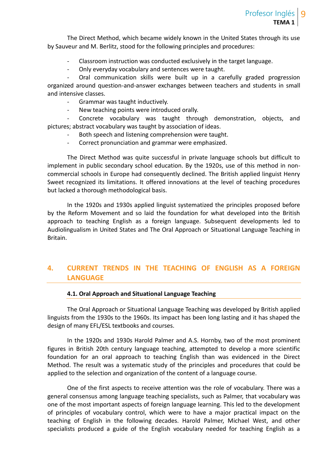The Direct Method, which became widely known in the United States through its use by Sauveur and M. Berlitz, stood for the following principles and procedures:

- Classroom instruction was conducted exclusively in the target language.
- Only everyday vocabulary and sentences were taught.

- Oral communication skills were built up in a carefully graded progression organized around question-and-answer exchanges between teachers and students in small and intensive classes.

- Grammar was taught inductively.
- New teaching points were introduced orally.

Concrete vocabulary was taught through demonstration, objects, and pictures; abstract vocabulary was taught by association of ideas.

- Both speech and listening comprehension were taught.
- Correct pronunciation and grammar were emphasized.

The Direct Method was quite successful in private language schools but difficult to implement in public secondary school education. By the 1920s, use of this method in non commercial schools in Europe had consequently declined. The British applied linguist Henry Sweet recognized its limitations. It offered innovations at the level of teaching procedures but lacked a thorough methodological basis.

In the 1920s and 1930s applied linguist systematized the principles proposed before by the Reform Movement and so laid the foundation for what developed into the British approach to teaching English as a foreign language. Subsequent developments led to Audiolingualism in United States and The Oral Approach or Situational Language Teaching in Britain.

### **4. CURRENT TRENDS IN THE TEACHING OF ENGLISH AS A FOREIGN LANGUAGE**

#### **4.1. Oral Approach and Situational Language Teaching**

The Oral Approach or Situational Language Teaching was developed by British applied linguists from the 1930s to the 1960s. Its impact has been long lasting and it has shaped the design of many EFL/ESL textbooks and courses.

In the 1920s and 1930s Harold Palmer and A.S. Hornby, two of the most prominent figures in British 20th century language teaching, attempted to develop a more scientific foundation for an oral approach to teaching English than was evidenced in the Direct Method. The result was a systematic study of the principles and procedures that could be applied to the selection and organization of the content of a language course.

One of the first aspects to receive attention was the role of vocabulary. There was a general consensus among language teaching specialists, such as Palmer, that vocabulary was one of the most important aspects of foreign language learning. This led to the development of principles of vocabulary control, which were to have a major practical impact on the teaching of English in the following decades. Harold Palmer, Michael West, and other specialists produced a guide of the English vocabulary needed for teaching English as a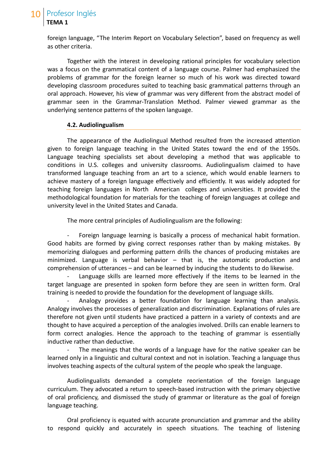## Profesor Inglés **TEMA 1**

foreign language, "The Interim Report on Vocabulary Selection", based on frequency as well as other criteria.

Together with the interest in developing rational principles for vocabulary selection was a focus on the grammatical content of a language course. Palmer had emphasized the problems of grammar for the foreign learner so much of his work was directed toward developing classroom procedures suited to teaching basic grammatical patterns through an oral approach. However, his view of grammar was very different from the abstract model of grammar seen in the Grammar-Translation Method. Palmer viewed grammar as the underlying sentence patterns of the spoken language.

#### **4.2. Audiolingualism**

The appearance of the Audiolingual Method resulted from the increased attention given to foreign language teaching in the United States toward the end of the 1950s. Language teaching specialists set about developing a method that was applicable to conditions in U.S. colleges and university classrooms. Audiolingualism claimed to have transformed language teaching from an art to a science, which would enable learners to achieve mastery of a foreign language effectively and efficiently. It was widely adopted for teaching foreign languages in North American colleges and universities. It provided the methodological foundation for materials for the teaching of foreign languages at college and university level in the United States and Canada.

The more central principles of Audiolingualism are the following:

Foreign language learning is basically a process of mechanical habit formation. Good habits are formed by giving correct responses rather than by making mistakes. By memorizing dialogues and performing pattern drills the chances of producing mistakes are minimized. Language is verbal behavior – that is, the automatic production and comprehension of utterances – and can be learned by inducing the students to do likewise.

Language skills are learned more effectively if the items to be learned in the target language are presented in spoken form before they are seen in written form. Oral training is needed to provide the foundation for the development of language skills.

Analogy provides a better foundation for language learning than analysis. Analogy involves the processes of generalization and discrimination. Explanations of rules are therefore not given until students have practiced a pattern in a variety of contexts and are thought to have acquired a perception of the analogies involved. Drills can enable learners to form correct analogies. Hence the approach to the teaching of grammar is essentially inductive rather than deductive.

The meanings that the words of a language have for the native speaker can be learned only in a linguistic and cultural context and not in isolation. Teaching a language thus involves teaching aspects of the cultural system of the people who speak the language.

Audiolingualists demanded a complete reorientation of the foreign language curriculum. They advocated a return to speech-based instruction with the primary objective of oral proficiency, and dismissed the study of grammar or literature as the goal of foreign language teaching.

Oral proficiency is equated with accurate pronunciation and grammar and the ability to respond quickly and accurately in speech situations. The teaching of listening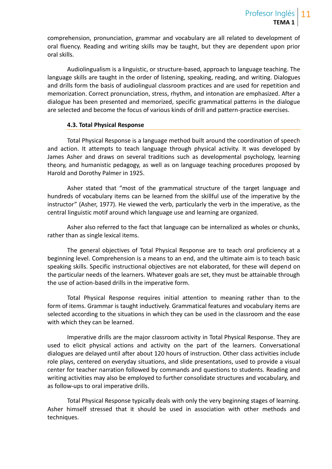comprehension, pronunciation, grammar and vocabulary are all related to development of oral fluency. Reading and writing skills may be taught, but they are dependent upon prior oral skills.

Audiolingualism is a linguistic, or structure-based, approach to language teaching. The language skills are taught in the order of listening, speaking, reading, and writing. Dialogues and drills form the basis of audiolingual classroom practices and are used for repetition and memorization. Correct pronunciation, stress, rhythm, and intonation are emphasized. After a dialogue has been presented and memorized, specific grammatical patterns in the dialogue are selected and become the focus of various kinds of drill and pattern-practice exercises.

#### **4.3. Total Physical Response**

Total Physical Response is a language method built around the coordination of speech and action. It attempts to teach language through physical activity. It was developed by James Asher and draws on several traditions such as developmental psychology, learning theory, and humanistic pedagogy, as well as on language teaching procedures proposed by Harold and Dorothy Palmer in 1925.

Asher stated that "most of the grammatical structure of the target language and hundreds of vocabulary items can be learned from the skillful use of the imperative by the instructor" (Asher, 1977). He viewed the verb, particularly the verb in the imperative, as the central linguistic motif around which language use and learning are organized.

Asher also referred to the fact that language can be internalized as wholes or chunks, rather than as single lexical items.

The general objectives of Total Physical Response are to teach oral proficiency at a beginning level. Comprehension is a means to an end, and the ultimate aim is to teach basic speaking skills. Specific instructional objectives are not elaborated, for these will depend on the particular needs of the learners. Whatever goals are set, they must be attainable through the use of action-based drills in the imperative form.

Total Physical Response requires initial attention to meaning rather than to the form of items. Grammar is taught inductively. Grammatical features and vocabulary items are selected according to the situations in which they can be used in the classroom and the ease with which they can be learned.

Imperative drills are the major classroom activity in Total Physical Response. They are used to elicit physical actions and activity on the part of the learners. Conversational dialogues are delayed until after about 120 hours of instruction. Other class activities include role plays, centered on everyday situations, and slide presentations, used to provide a visual center for teacher narration followed by commands and questions to students. Reading and writing activities may also be employed to further consolidate structures and vocabulary, and as follow-ups to oral imperative drills.

Total Physical Response typically deals with only the very beginning stages of learning. Asher himself stressed that it should be used in association with other methods and techniques.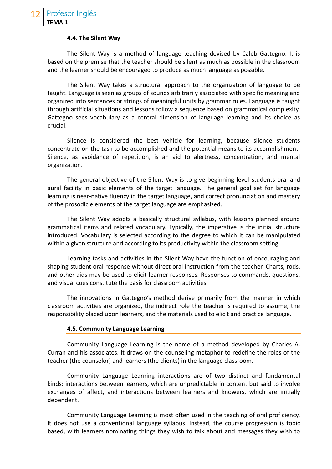#### **4.4. The Silent Way**

The Silent Way is a method of language teaching devised by Caleb Gattegno. It is based on the premise that the teacher should be silent as much as possible in the classroom and the learner should be encouraged to produce as much language as possible.

The Silent Way takes a structural approach to the organization of language to be taught. Language is seen as groups of sounds arbitrarily associated with specific meaning and organized into sentences or strings of meaningful units by grammar rules. Language is taught through artificial situations and lessons follow a sequence based on grammatical complexity. Gattegno sees vocabulary as a central dimension of language learning and its choice as crucial.

Silence is considered the best vehicle for learning, because silence students concentrate on the task to be accomplished and the potential means to its accomplishment. Silence, as avoidance of repetition, is an aid to alertness, concentration, and mental organization.

The general objective of the Silent Way is to give beginning level students oral and aural facility in basic elements of the target language. The general goal set for language learning is near-native fluency in the target language, and correct pronunciation and mastery of the prosodic elements of the target language are emphasized.

The Silent Way adopts a basically structural syllabus, with lessons planned around grammatical items and related vocabulary. Typically, the imperative is the initial structure introduced. Vocabulary is selected according to the degree to which it can be manipulated within a given structure and according to its productivity within the classroom setting.

Learning tasks and activities in the Silent Way have the function of encouraging and shaping student oral response without direct oral instruction from the teacher. Charts, rods, and other aids may be used to elicit learner responses. Responses to commands, questions, and visual cues constitute the basis for classroom activities.

The innovations in Gattegno's method derive primarily from the manner in which classroom activities are organized, the indirect role the teacher is required to assume, the responsibility placed upon learners, and the materials used to elicit and practice language.

#### **4.5. Community Language Learning**

Community Language Learning is the name of a method developed by Charles A. Curran and his associates. It draws on the counseling metaphor to redefine the roles of the teacher (the counselor) and learners (the clients) in the language classroom.

Community Language Learning interactions are of two distinct and fundamental kinds: interactions between learners, which are unpredictable in content but said to involve exchanges of affect, and interactions between learners and knowers, which are initially dependent.

Community Language Learning is most often used in the teaching of oral proficiency. It does not use a conventional language syllabus. Instead, the course progression is topic based, with learners nominating things they wish to talk about and messages they wish to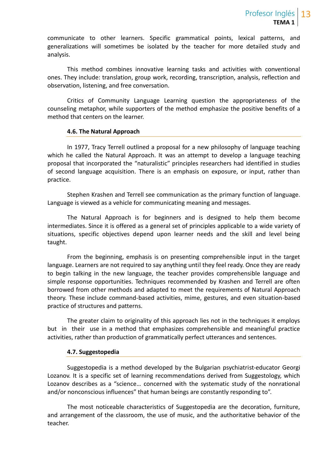communicate to other learners. Specific grammatical points, lexical patterns, and generalizations will sometimes be isolated by the teacher for more detailed study and analysis.

This method combines innovative learning tasks and activities with conventional ones. They include: translation, group work, recording, transcription, analysis, reflection and observation, listening, and free conversation.

Critics of Community Language Learning question the appropriateness of the counseling metaphor, while supporters of the method emphasize the positive benefits of a method that centers on the learner.

#### **4.6. The Natural Approach**

In 1977, Tracy Terrell outlined a proposal for a new philosophy of language teaching which he called the Natural Approach. It was an attempt to develop a language teaching proposal that incorporated the "naturalistic" principles researchers had identified in studies of second language acquisition. There is an emphasis on exposure, or input, rather than practice.

Stephen Krashen and Terrell see communication as the primary function of language. Language is viewed as a vehicle for communicating meaning and messages.

The Natural Approach is for beginners and is designed to help them become intermediates. Since it is offered as a general set of principles applicable to a wide variety of situations, specific objectives depend upon learner needs and the skill and level being taught.

From the beginning, emphasis is on presenting comprehensible input in the target language. Learners are not required to say anything until they feel ready. Once they are ready to begin talking in the new language, the teacher provides comprehensible language and simple response opportunities. Techniques recommended by Krashen and Terrell are often borrowed from other methods and adapted to meet the requirements of Natural Approach theory. These include command-based activities, mime, gestures, and even situation-based practice of structures and patterns.

The greater claim to originality of this approach lies not in the techniques it employs but in their use in a method that emphasizes comprehensible and meaningful practice activities, rather than production of grammatically perfect utterances and sentences.

#### **4.7. Suggestopedia**

Suggestopedia is a method developed by the Bulgarian psychiatrist-educator Georgi Lozanov. It is a specific set of learning recommendations derived from Suggestology, which Lozanov describes as a "science… concerned with the systematic study of the nonrational and/or nonconscious influences" that human beings are constantly responding to".

The most noticeable characteristics of Suggestopedia are the decoration, furniture, and arrangement of the classroom, the use of music, and the authoritative behavior of the teacher.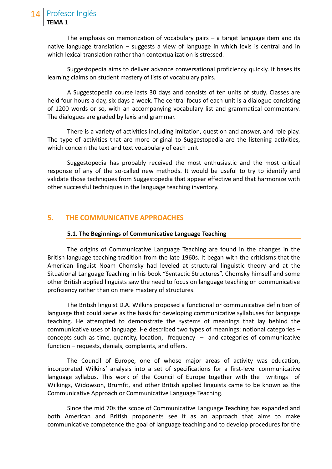The emphasis on memorization of vocabulary pairs  $-$  a target language item and its native language translation – suggests a view of language in which lexis is central and in which lexical translation rather than contextualization is stressed.

Suggestopedia aims to deliver advance conversational proficiency quickly. It bases its learning claims on student mastery of lists of vocabulary pairs.

A Suggestopedia course lasts 30 days and consists of ten units of study. Classes are held four hours a day, six days a week. The central focus of each unit is a dialogue consisting of 1200 words or so, with an accompanying vocabulary list and grammatical commentary. The dialogues are graded by lexis and grammar.

There is a variety of activities including imitation, question and answer, and role play. The type of activities that are more original to Suggestopedia are the listening activities, which concern the text and text vocabulary of each unit.

Suggestopedia has probably received the most enthusiastic and the most critical response of any of the so-called new methods. It would be useful to try to identify and validate those techniques from Suggestopedia that appear effective and that harmonize with other successful techniques in the language teaching inventory.

#### **5. THE COMMUNICATIVE APPROACHES**

#### **5.1. The Beginnings of Communicative Language Teaching**

The origins of Communicative Language Teaching are found in the changes in the British language teaching tradition from the late 1960s. It began with the criticisms that the American linguist Noam Chomsky had leveled at structural linguistic theory and at the Situational Language Teaching in his book "Syntactic Structures". Chomsky himself and some other British applied linguists saw the need to focus on language teaching on communicative proficiency rather than on mere mastery of structures.

The British linguist D.A. Wilkins proposed a functional or communicative definition of language that could serve as the basis for developing communicative syllabuses for language teaching. He attempted to demonstrate the systems of meanings that lay behind the communicative uses of language. He described two types of meanings: notional categories – concepts such as time, quantity, location, frequency  $-$  and categories of communicative function – requests, denials, complaints, and offers.

The Council of Europe, one of whose major areas of activity was education, incorporated Wilkins' analysis into a set of specifications for a first-level communicative language syllabus. This work of the Council of Europe together with the writings of Wilkings, Widowson, Brumfit, and other British applied linguists came to be known as the Communicative Approach or Communicative Language Teaching.

Since the mid 70s the scope of Communicative Language Teaching has expanded and both American and British proponents see it as an approach that aims to make communicative competence the goal of language teaching and to develop procedures for the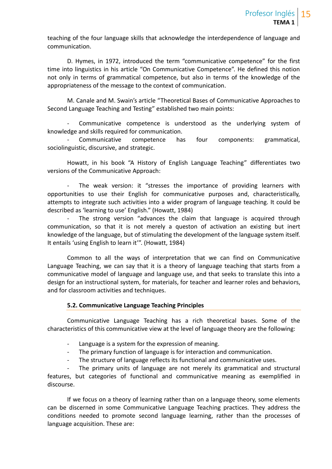teaching of the four language skills that acknowledge the interdependence of language and communication.

D. Hymes, in 1972, introduced the term "communicative competence" for the first time into linguistics in his article "On Communicative Competence". He defined this notion not only in terms of grammatical competence, but also in terms of the knowledge of the appropriateness of the message to the context of communication.

M. Canale and M. Swain's article "Theoretical Bases of Communicative Approaches to Second Language Teaching and Testing" established two main points:

Communicative competence is understood as the underlying system of knowledge and skills required for communication.

Communicative competence has four components: grammatical, sociolinguistic, discursive, and strategic.

Howatt, in his book "A History of English Language Teaching" differentiates two versions of the Communicative Approach:

The weak version: it "stresses the importance of providing learners with opportunities to use their English for communicative purposes and, characteristically, attempts to integrate such activities into a wider program of language teaching. It could be described as 'learning to use' English." (Howatt, 1984)

The strong version "advances the claim that language is acquired through communication, so that it is not merely a queston of activation an existing but inert knowledge of the language, but of stimulating the development of the language system itself. It entails 'using English to learn it'". (Howatt, 1984)

Common to all the ways of interpretation that we can find on Communicative Language Teaching, we can say that it is a theory of language teaching that starts from a communicative model of language and language use, and that seeks to translate this into a design for an instructional system, for materials, for teacher and learner roles and behaviors, and for classroom activities and techniques.

#### **5.2. Communicative Language Teaching Principles**

Communicative Language Teaching has a rich theoretical bases. Some of the characteristics of this communicative view at the level of language theory are the following:

- Language is a system for the expression of meaning.
- The primary function of language is for interaction and communication.
- The structure of language reflects its functional and communicative uses.

The primary units of language are not merely its grammatical and structural features, but categories of functional and communicative meaning as exemplified in discourse.

If we focus on a theory of learning rather than on a language theory, some elements can be discerned in some Communicative Language Teaching practices. They address the conditions needed to promote second language learning, rather than the processes of language acquisition. These are: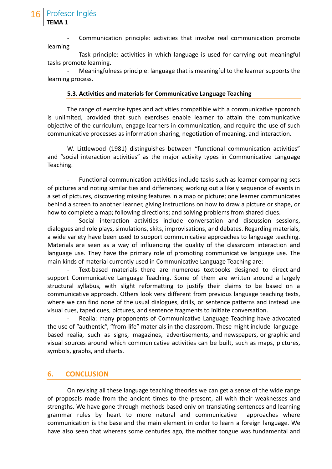Profesor Inglés

**TEMA 1**

Communication principle: activities that involve real communication promote learning

Task principle: activities in which language is used for carrying out meaningful tasks promote learning.

- Meaningfulness principle: language that is meaningful to the learner supports the learning process.

#### **5.3. Activities and materials for Communicative Language Teaching**

The range of exercise types and activities compatible with a communicative approach is unlimited, provided that such exercises enable learner to attain the communicative objective of the curriculum, engage learners in communication, and require the use of such communicative processes as information sharing, negotiation of meaning, and interaction.

W. Littlewood (1981) distinguishes between "functional communication activities" and "social interaction activities" as the major activity types in Communicative Language Teaching.

Functional communication activities include tasks such as learner comparing sets of pictures and noting similarities and differences; working out a likely sequence of events in a set of pictures, discovering missing features in a map or picture; one learner communicates behind a screen to another learner, giving instructions on how to draw a picture or shape, or how to complete a map; following directions; and solving problems from shared clues.

- Social interaction activities include conversation and discussion sessions, dialogues and role plays, simulations, skits, improvisations, and debates. Regarding materials, a wide variety have been used to support communicative approaches to language teaching. Materials are seen as a way of influencing the quality of the classroom interaction and language use. They have the primary role of promoting communicative language use. The main kinds of material currently used in Communicative Language Teaching are:

Text-based materials: there are numerous textbooks designed to direct and support Communicative Language Teaching. Some of them are written around a largely structural syllabus, with slight reformatting to justify their claims to be based on a communicative approach. Others look very different from previous language teaching texts, where we can find none of the usual dialogues, drills, or sentence patterns and instead use visual cues, taped cues, pictures, and sentence fragments to initiate conversation.

Realia: many proponents of Communicative Language Teaching have advocated the use of "authentic", "from-life" materials in the classroom. These might include language based realia, such as signs, magazines, advertisements, and newspapers, or graphic and visual sources around which communicative activities can be built, such as maps, pictures, symbols, graphs, and charts.

#### **6. CONCLUSION**

On revising all these language teaching theories we can get a sense of the wide range of proposals made from the ancient times to the present, all with their weaknesses and strengths. We have gone through methods based only on translating sentences and learning grammar rules by heart to more natural and communicative approaches where communication is the base and the main element in order to learn a foreign language. We have also seen that whereas some centuries ago, the mother tongue was fundamental and